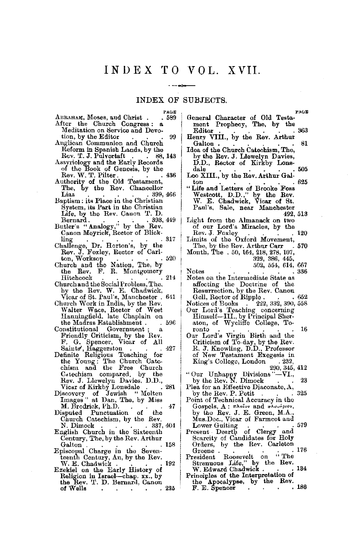### INDEX OF SUBJECTS.

 $\sim$   $-$  40

| PAGE                                                          | PAGE                                                                      |
|---------------------------------------------------------------|---------------------------------------------------------------------------|
| ABRAHAM, Moses, and Christ.<br>. 589                          | General Character of Old Testa-                                           |
| After the Church Congress:                                    | ment Prophecy, The, by the                                                |
| Meditation on Service and Devo-                               | 363<br>Editor                                                             |
| tion, by the Editor<br>99                                     | Henry VIII., by the Rev. Arthur                                           |
| Anglican Communion and Church                                 | 81<br>Galton .                                                            |
| Reform in Spanish Lands, by the                               | Idea of the Church Catechism, The,                                        |
| Rev. T. J. Pulvertaft<br>. 88,143                             | by the Rev. J. Llewelyn Davies,                                           |
| Assyriology and the Early Records                             | D.D., Rector of Kirkby Lons-                                              |
| of the Book of Genesis, by the                                | - 505<br>dale                                                             |
| Rev. W. T. Pilter.<br>. 436                                   | Leo XIII., by the Rev. Arthur Gal-                                        |
| Authority of the Old Testament,                               | -625<br>$_{\rm ton}$                                                      |
| The, by the Rev. Chancellor                                   | "Life and Letters of Brooke Foss                                          |
| Lias<br>. 399, 466                                            | Westcott, D.D.," by the Rev.                                              |
| Baptism: its Place in the Christian                           | W. E. Chadwick, Vicar of St.                                              |
| System, its Part in the Christian                             | Paul's, Sale, near Manchester                                             |
| Life, by the Rev. Cauon T. D.                                 | 492, 513                                                                  |
| Bernard .<br>.393,449                                         | Light from the Almanack on two                                            |
| Butler's "Analogy," by the Rev.                               | of our Lord's Miracles, by the                                            |
| Canon Meyrick, Rector of Blick-                               | Rev. J. Foxley<br>120                                                     |
| . 317<br>ling                                                 | Limits of the Oxford Movement,                                            |
| Challenge, Dr. Horton's, by the                               | The, by the Rev. Arthur Carr<br>- 570                                     |
| Rev. J. Foxley, Rector of Carl-                               | Month, The . 50, 164, 218, 278, 107,                                      |
| ton, Worksop<br>- 520                                         | 329, 386, 445,                                                            |
| Church and the Nation, The, by                                | 502, 554, 614, 667                                                        |
| Rev. F. R. Montgomery<br>the<br>-214                          | Notes<br>. 336                                                            |
| Hitchcook<br>Church and the Social Problem, The,              | Notes on the Intermediate State as                                        |
| by the Rev. W. E. Chadwick,                                   | affecting the Doctrine of the<br>Resurrection, by the Rev. Canon          |
|                                                               | . 652                                                                     |
| Vicar of St. Paul's, Manchester . 641                         | Gell, Rector of Ripple                                                    |
| Charch Work in India, by the Rev.                             | Notices of Books . 222, 332, 390, 558                                     |
| Walter Wace, Rector of West<br>Hanningfield, late Chaplain on | Our Lord's Teaching concerning<br>Himself-III., by Principal Sher-        |
| the Madras Establishment .<br>596                             | aton, of Wycliffe College, To-                                            |
| Constitutional Government;<br>a,                              | 16<br>ronto                                                               |
| Friendly Criticism, by the Rev.                               | Our Lord's Virgin Birth and the                                           |
| F. G. Spencer, Vicar of All                                   | Criticism of To-day, by the Rev.                                          |
| 427                                                           | R. J. Knowling, D.D., Professor                                           |
| Saints', Haggerston<br>Definite Religious Teaching for        | of New Testament Exegesis in                                              |
| the Young: The Church Cate-                                   | King's College, London<br>.232                                            |
| chism and the Free Church                                     | 290, 345, 412                                                             |
| Catechism compared, by the                                    | "Our Unhappy Divisions"—VI.,                                              |
| Rev. J. Llewelyn Davies, D.D.,                                | by the Rev. N. Dimock<br>23                                               |
| . Vicar of Kirkby Lonsdale<br>281                             | Plea for an Effective Diaconate, A,                                       |
| " Molten<br>Discovery of Jewish                               | 325<br>by the Rev. P. Petit<br>$\sim$                                     |
| Images" at Dan, The, by Miss                                  | Point of Technical Accuracy in the                                        |
| M. Brodrick, Ph.D.<br>47                                      | $G$ ospels, $A: \pi \lambda$ oïov and $\pi \lambda \nu \mu \nu \nu \nu$ , |
| Punctuation of the<br>Disputed                                | by the Rev. J. E. Green, M.A.,                                            |
| Church Catechism, by the Rev.                                 | Mus.Doc., Vicar of Farmcot and                                            |
| N. Dimock<br>. 337, 404                                       | 579<br>Lower Guiting                                                      |
| English Church in the Sixteenth                               | Present Dearth of Clergy and                                              |
| Century, The, by the Rev. Arthur                              | Scarcity of Candidates for Holy                                           |
| -158<br>Galton                                                | Orders, by the Rev. Carleton                                              |
| Episcopal Charge in the Seven-                                | . 176<br>Greene.                                                          |
| teenth Century, An, by the Rev.                               | President Roosevelt on "The                                               |
| W. E. Chadwick<br>192                                         | Strenuous Life," by the Rev.                                              |
| Ezekiel on the Early History of                               | W. Edward Chadwick.<br>. 134                                              |
| Religion in Israel-chap. xx., by                              | Principles of the Interpretation of                                       |
| the Rev. T. D. Bernard, Canon                                 | the Apocalypse, by the Rev.<br>. 186                                      |
| of Wells<br>225<br>$\bullet$                                  | F. E. Spencer<br><b>CONTRACTOR</b><br>$\sim$ 4 $-$                        |

|                                                                                                                                                            | PAGE  |
|------------------------------------------------------------------------------------------------------------------------------------------------------------|-------|
| General Character of Old Testa-                                                                                                                            |       |
| ment Prophecy, The, by the                                                                                                                                 |       |
| Editor                                                                                                                                                     | 363   |
| Henry VIII., by the Rev. Arthur                                                                                                                            |       |
| Galton .                                                                                                                                                   | 81    |
| Idea of the Church Catechism, The,                                                                                                                         |       |
|                                                                                                                                                            |       |
| by the Rev. J. Llewelyn Davies,<br>D.D., Rector of Kirkby Lons-                                                                                            |       |
| dale                                                                                                                                                       | -505  |
| Leo XIII., by the Rev. Arthur Gal-                                                                                                                         |       |
| ton                                                                                                                                                        | 625   |
| "Life and Letters of Brooke Foss<br>Westcott, D.D.," by the Rev.<br>W. E. Chadwick, Vicar of St.                                                           |       |
|                                                                                                                                                            |       |
|                                                                                                                                                            |       |
| Paul's, Sale, near Manchester                                                                                                                              |       |
| 492, 513                                                                                                                                                   |       |
| Light from the Almanack on two                                                                                                                             |       |
|                                                                                                                                                            |       |
| of our Lord's Miracles, by the Rev. J. Foxley                                                                                                              | 120   |
| Limits of the Oxford Movement,                                                                                                                             |       |
|                                                                                                                                                            | 570   |
| The, by the Rev. Arthur Carr<br>Month, The . 50, 164, 218, 278, 107,<br>329, 386, 445,                                                                     |       |
|                                                                                                                                                            |       |
| 502, 554, 614, 667                                                                                                                                         |       |
| Notes                                                                                                                                                      | 336   |
|                                                                                                                                                            |       |
| Notes on the Intermediate State as                                                                                                                         |       |
| affecting the Doctrine of the                                                                                                                              |       |
| Resurrection, by the Rev. Canon                                                                                                                            |       |
| Gell, Rector of Ripple.                                                                                                                                    | . 652 |
| Notices of Books<br>Our Lord's Teaching concerning<br>Our Lord's Teaching concerning<br>Himself—III., by Principal Sher-<br>aton, of Wycliffe College, To- |       |
|                                                                                                                                                            |       |
|                                                                                                                                                            |       |
|                                                                                                                                                            |       |
| ronto                                                                                                                                                      | 16    |
| Our Lord's Virgin Birth and the                                                                                                                            |       |
|                                                                                                                                                            |       |
| Criticism of To-day, by the Rev.<br>R. J. Knowling, D.D., Professor                                                                                        |       |
| New Testament Exegesis in<br>of                                                                                                                            |       |
| King's College, London<br>.232.                                                                                                                            |       |
| 290, 345, 412                                                                                                                                              |       |
| "Our Unhappy Divisions"-VI.,<br>by the Rev. N. Dimock                                                                                                      |       |
|                                                                                                                                                            | 23    |
| Plea for an Effective Diaconate, A,                                                                                                                        |       |
| by the Rev. P. Petit<br>$\rightarrow$                                                                                                                      | 325   |
| Point of Technical Accuracy in the                                                                                                                         |       |
| Gospels, A: πλοΐον and πλοιόριον,                                                                                                                          |       |
|                                                                                                                                                            |       |
| by the Rev. J. E. Green, M.A.,<br>Mus.Doc., Vicar of Farmcot and                                                                                           |       |
| Lower Guiting                                                                                                                                              | 579   |
| Present Dearth of Clergy and<br>Scarcity of Candidates for Holy<br>Orders, by the Rev. Carleton<br>Greene                                                  |       |
|                                                                                                                                                            |       |
|                                                                                                                                                            |       |
| Greene                                                                                                                                                     | 176   |
| President                                                                                                                                                  |       |
|                                                                                                                                                            |       |
|                                                                                                                                                            | 134   |
| Principles of the Interpretation of                                                                                                                        |       |
|                                                                                                                                                            |       |

 $\overline{\phantom{a}}$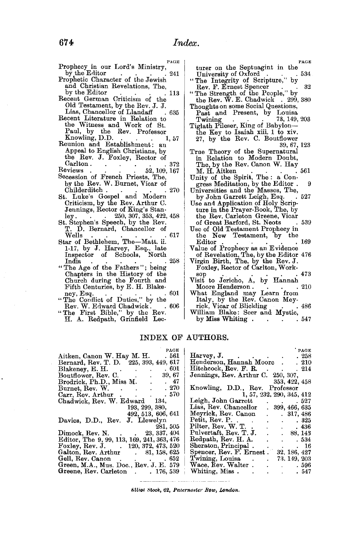| PAGE                                          |
|-----------------------------------------------|
| Prophecy in our Lord's Ministry,              |
| by the Editor<br>241                          |
| Prophetic Character of the Jewish             |
| and Christian Revelations, The,               |
| by the Editor<br>113                          |
| Recent German Criticism of the                |
| Old Testament, by the Rev. J. J.              |
| Lias, Chancellor of Llandaff                  |
| 635                                           |
| Recent Literature in Relation to              |
| the Witness and Work of St.                   |
| Paul, by the Rev. Professor<br>Knowling, D.D. |
| 1.57                                          |
| Reunion and Establishment:<br>an              |
| Appeal to English Christians, by              |
| the Rev. J. Foxley, Rector of                 |
| $\operatorname{Carlton}.$<br>-372             |
| Reviews<br>52, 109, 167                       |
| Secession of French Priests, The,             |
| by the Rev. W. Burnet, Vicar of               |
| Childerditch.<br>270                          |
| St. Luke's Gospel and Modern                  |
| Criticism, by the Rev. Arthur C.              |
| Jennings, Rector of King's Stan-              |
| 250, 307, 353, 422, 458<br>ley.               |
| St. Stephen's Speech, by the Rev.             |
| T. D. Bernard, Chancellor of                  |
| 617<br>Wells                                  |
| Star of Bethlehem, The-Matt. ii.              |
| 1-17, by J. Harvey, Esq., late                |
|                                               |
| Inspector of Schools, North<br>258            |
| India                                         |
| "The Age of the Fathers"; being               |
| Chapters in the History of the                |
| Church during the Fourth and                  |
| Fifth Centuries, by E. H. Blake-              |
| e^1<br>17                                     |

- Fifth Centuries, by E. H. Blake<br>
ney, Esq. . . . . . 601<br>
Rev. W. Edward Chadwick. . . 606<br>
"The First Bible," by the Rev.<br>
H. A. Redpath, Grinfield Lee-
- 

|                                                                                                                                                                                                                                | PAGE  |
|--------------------------------------------------------------------------------------------------------------------------------------------------------------------------------------------------------------------------------|-------|
| turer on the Septuagint in the                                                                                                                                                                                                 |       |
| University of Oxford Carl Contains and Containing Containing Containing Containing Containing Containing Containing Containing Containing Containing Containing Containing Containing Containing Containing Containing Contain | . 534 |
|                                                                                                                                                                                                                                |       |
| Rev. F. Ernest Spencer                                                                                                                                                                                                         | 32    |
| Kev. F. Ernest Spencer<br>"The Strength of the People," by<br>the Rev. W. E. Chadwick . 299, 380                                                                                                                               |       |
|                                                                                                                                                                                                                                |       |
| Thoughts on some Social Questions,                                                                                                                                                                                             |       |
| Past and Present, by Louisa                                                                                                                                                                                                    |       |
| 73, 149, 203<br>Twining                                                                                                                                                                                                        |       |
|                                                                                                                                                                                                                                |       |
| Twining<br>Tiglath Pileser, King of Babylon—<br>the Key to Isaiah xiii. 1 to xiv.<br>27, by the Rev. C. Boutflower                                                                                                             |       |
|                                                                                                                                                                                                                                |       |
| 39, 67, 123                                                                                                                                                                                                                    |       |
| True Theory of the Supernatural                                                                                                                                                                                                |       |
| in Relation to Modern Doubt,                                                                                                                                                                                                   |       |
| The, by the Rev. Canon W. Hay                                                                                                                                                                                                  |       |
| M. H. Aitken                                                                                                                                                                                                                   | 561   |
| M. H. Altken<br>Unity of the Spirit, The : a Con-                                                                                                                                                                              |       |
| gress Meditation, by the Editor.                                                                                                                                                                                               | 9     |
| Universities and the Masses, The,                                                                                                                                                                                              |       |
| by John Garrett Leigh, Esq.                                                                                                                                                                                                    | 527   |
| Use and Application of Holy Scrip-                                                                                                                                                                                             |       |
| ture in the Prayer-Book, The, by                                                                                                                                                                                               |       |
| the Rev. Carleton Greene, Vicar                                                                                                                                                                                                |       |
| of Great Barford, St. Neots                                                                                                                                                                                                    | 539   |
| Use of Old Testament Prophecy in                                                                                                                                                                                               |       |
| the New Testament, by the                                                                                                                                                                                                      |       |
| Editor                                                                                                                                                                                                                         | 169   |
| Value of Prophecy as an Evidence                                                                                                                                                                                               |       |
| of Revelation, The, by the Editor 476                                                                                                                                                                                          |       |
| Virgin Birth, The, by the Rev. J.                                                                                                                                                                                              |       |
| Foxley, Rector of Carlton, Work-                                                                                                                                                                                               |       |
| sop                                                                                                                                                                                                                            | 473   |
| Visit to Jericho, A, by Hannah                                                                                                                                                                                                 |       |
| Moore Henderson.                                                                                                                                                                                                               | 210   |
| What England may Learn from                                                                                                                                                                                                    |       |
| Italy, by the Rev. Canon Mey-                                                                                                                                                                                                  |       |
| rick, Vicar of Blickling<br>William Blake: Seer and Mystic,                                                                                                                                                                    | 486   |
|                                                                                                                                                                                                                                | 547   |
| by Miss Whiting.                                                                                                                                                                                                               |       |

### INDEX OF AUTHORS.

| PAGE<br>Aitken, Canon W. Hay M. H. 561     | PAGE<br>Harvey, J. 258                                    |  |  |  |
|--------------------------------------------|-----------------------------------------------------------|--|--|--|
| Bernard, Rev. T. D. 225, 393, 449, 617     | Henderson, Hannah Moore . 210                             |  |  |  |
| Blakeney, E. H. $\ldots$ . 601             | Hitchcock, Rev. F. R. 214                                 |  |  |  |
| 39, 67<br>Boutflower, Rev. C.              | Jennings, Rev. Arthur C. 250, 307,                        |  |  |  |
| Brodrick, Ph.D., Miss M. 47                | 353, 422, 458                                             |  |  |  |
| Burnet, Rev. W. 270                        | Knowling, D.D., Rev. Professor                            |  |  |  |
| Carr, Rev. Arthur 570                      | 1, 57, 232, 290, 345, 412                                 |  |  |  |
| Chadwick, Rev. W. Edward 134,              | Leigh, John Garrett 527                                   |  |  |  |
| 193, 299, 380,                             | Lias, Rev. Chancellor . 399, 466, 635                     |  |  |  |
| 492,513,606,641                            | Meyrick, Rev. Canon . 317, 486                            |  |  |  |
| Davies, D.D., Rev. J. Llewelyn             | Petit, Rev. P. 325                                        |  |  |  |
| 281, 505                                   | Pilter, Rev. W. T.<br>$\cdot$ $\cdot$ $\cdot$ $\cdot$ 436 |  |  |  |
| Dimock, Rev. N. (23, 337, 404)             | Pulvertaft, Rev. T. J.<br>. 88, 143                       |  |  |  |
| Editor, The 9, 99, 113, 169, 241, 363, 476 | Redpath, Rev. H. A. 534                                   |  |  |  |
| Foxley, Rev. J. $120, 372, 473, 520$       | Sheraton, Principal. 16                                   |  |  |  |
| Galton, Rev. Arthur . 81, 158, 625         | Spencer, Rev. F. Ernest. 32, 186, 427                     |  |  |  |
| Gell, Rev. Canon 652                       | Twining, Louisa . 73, 149, 203                            |  |  |  |
| Green, M.A., Mus. Doc., Rev. J. E. 579     | Wace, Rev. Walter 596                                     |  |  |  |
| Greene, Rev. Carleton . 176, 539           | . 547                                                     |  |  |  |
|                                            |                                                           |  |  |  |

 $i$ *iliot Stock,* 62, *Paternoster Row, London.*